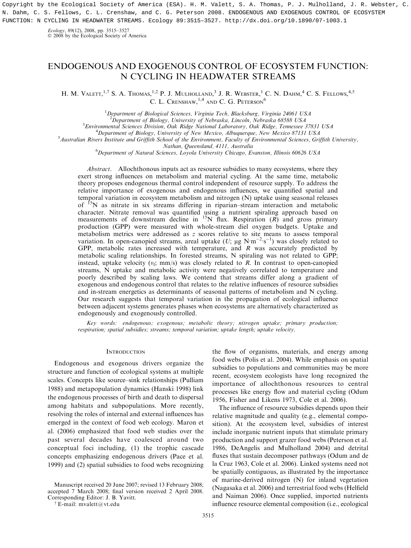Copyright by the Ecological Society of America (ESA). H. M. Valett, S. A. Thomas, P. J. Mulholland, J. R. Webster, C. N. Dahm, C. S. Fellows, C. L. Crenshaw, and C. G. Peterson 2008. ENDOGENOUS AND EXOGENOUS CONTROL OF ECOSYSTEM FUNCTION: N CYCLING IN HEADWATER STREAMS. Ecology 89:3515–3527. http://dx.doi.org/10.1890/07-1003.1

Ecology, 89(12), 2008, pp. 3515–3527<br>© 2008 by the Ecological Society of America

# ENDOGENOUS AND EXOGENOUS CONTROL OF ECOSYSTEM FUNCTION: N CYCLING IN HEADWATER STREAMS

H. M. VALETT,<sup>1,7</sup> S. A. Thomas,<sup>1,2</sup> P. J. Mulholland,<sup>3</sup> J. R. Webster,<sup>1</sup> C. N. Dahm,<sup>4</sup> C. S. Fellows,<sup>4,5</sup> C. L. CRENSHAW,  $^{1,4}$  and C. G. Peterson<sup>6</sup>

<sup>1</sup>Department of Biological Sciences, Virginia Tech, Blacksburg, Virginia 24061 USA

<sup>2</sup> Department of Biology, University of Nebraska, Lincoln, Nebraska 68588 USA<br><sup>3</sup> Environmental Sciences Division, Oak Bidge National Laboratory, Oak Bidge, Tannassee i

 ${}^{3}$ Environmental Sciences Division, Oak Ridge National Laboratory, Oak Ridge, Tennessee 37831 USA

 $^4$ Department of Biology, University of New Mexico, Albuquerque, New Mexico 87131 USA

 ${}^5$ Australian Rivers Institute and Griffith School of the Environment, Faculty of Environmental Sciences, Griffith University,<br>Nathan, Oueensland, 4111, Australia

Nathan, Queensland, 4111, Australia<br><sup>6</sup>Department of Natural Sciences, Loyola University Chicago, Evanston, Illinois 60626 USA

Abstract. Allochthonous inputs act as resource subsidies to many ecosystems, where they exert strong influences on metabolism and material cycling. At the same time, metabolic theory proposes endogenous thermal control independent of resource supply. To address the relative importance of exogenous and endogenous influences, we quantified spatial and temporal variation in ecosystem metabolism and nitrogen (N) uptake using seasonal releases of <sup>15</sup>N as nitrate in six streams differing in riparian–stream interaction and metabolic character. Nitrate removal was quantified using a nutrient spiraling approach based on measurements of downstream decline in  $^{15}N$  flux. Respiration (R) and gross primary production (GPP) were measured with whole-stream diel oxygen budgets. Uptake and metabolism metrics were addressed as  $z$  scores relative to site means to assess temporal variation. In open-canopied streams, areal uptake (U;  $\mu$ g N·m<sup>-2</sup>·s<sup>-1</sup>) was closely related to GPP, metabolic rates increased with temperature, and  $R$  was accurately predicted by metabolic scaling relationships. In forested streams, N spiraling was not related to GPP; instead, uptake velocity ( $v_f$ ; mm/s) was closely related to R. In contrast to open-canopied streams, N uptake and metabolic activity were negatively correlated to temperature and poorly described by scaling laws. We contend that streams differ along a gradient of exogenous and endogenous control that relates to the relative influences of resource subsidies and in-stream energetics as determinants of seasonal patterns of metabolism and N cycling. Our research suggests that temporal variation in the propagation of ecological influence between adjacent systems generates phases when ecosystems are alternatively characterized as endogenously and exogenously controlled.

Key words: endogenous; exogenous; metabolic theory; nitrogen uptake; primary production; respiration; spatial subsidies; streams; temporal variation; uptake length; uptake velocity.

#### **INTRODUCTION**

Endogenous and exogenous drivers organize the structure and function of ecological systems at multiple scales. Concepts like source–sink relationships (Pulliam 1988) and metapopulation dynamics (Hanski 1998) link the endogenous processes of birth and death to dispersal among habitats and subpopulations. More recently, resolving the roles of internal and external influences has emerged in the context of food web ecology. Maron et al. (2006) emphasized that food web studies over the past several decades have coalesced around two conceptual foci including, (1) the trophic cascade concepts emphasizing endogenous drivers (Pace et al. 1999) and (2) spatial subsidies to food webs recognizing

Manuscript received 20 June 2007; revised 13 February 2008; accepted 7 March 2008; final version received 2 April 2008. Corresponding Editor: J. B. Yavitt.

<sup>7</sup> E-mail: mvalett@vt.edu

the flow of organisms, materials, and energy among food webs (Polis et al. 2004). While emphasis on spatial subsidies to populations and communities may be more recent, ecosystem ecologists have long recognized the importance of allochthonous resources to central processes like energy flow and material cycling (Odum 1956, Fisher and Likens 1973, Cole et al. 2006).

The influence of resource subsidies depends upon their relative magnitude and quality (e.g., elemental composition). At the ecosystem level, subsidies of interest include inorganic nutrient inputs that stimulate primary production and support grazer food webs (Peterson et al. 1986, DeAngelis and Mulholland 2004) and detrital fluxes that sustain decomposer pathways (Odum and de la Cruz 1963, Cole et al. 2006). Linked systems need not be spatially contiguous, as illustrated by the importance of marine-derived nitrogen (N) for inland vegetation (Nagasaka et al. 2006) and terrestrial food webs (Helfield and Naiman 2006). Once supplied, imported nutrients influence resource elemental composition (i.e., ecological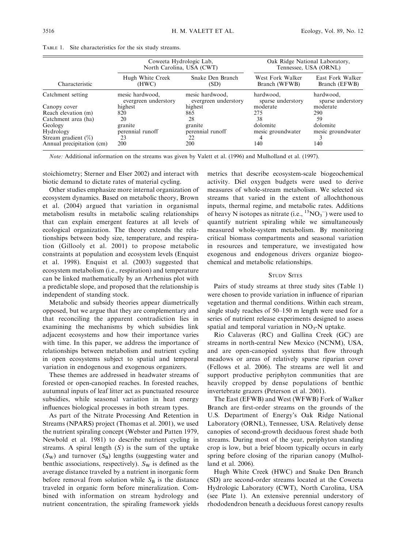| TABLE 1. Site characteristics for the six study streams. |  |
|----------------------------------------------------------|--|
|                                                          |  |

|                           | Coweeta Hydrologic Lab,<br>North Carolina, USA (CWT) |                                         | Oak Ridge National Laboratory,<br>Tennessee, USA (ORNL) |                                   |
|---------------------------|------------------------------------------------------|-----------------------------------------|---------------------------------------------------------|-----------------------------------|
| Characteristic            | Hugh White Creek<br>(HWC)                            | Snake Den Branch<br>(SD)                | West Fork Walker<br>Branch (WFWB)                       | East Fork Walker<br>Branch (EFWB) |
| Catchment setting         | mesic hardwood,<br>evergreen understory              | mesic hardwood,<br>evergreen understory | hardwood,<br>sparse understory                          | hardwood.<br>sparse understory    |
| Canopy cover              | highest                                              | highest                                 | moderate                                                | moderate                          |
| Reach elevation (m)       | 820                                                  | 865                                     | 275                                                     | 290                               |
| Catchment area (ha)       | 20                                                   | 28                                      | 38                                                      | 59                                |
| Geology                   | granite                                              | granite                                 | dolomite                                                | dolomite                          |
| Hydrology                 | perennial runoff                                     | perennial runoff                        | mesic groundwater                                       | mesic groundwater                 |
| Stream gradient $(\%)$    | 23                                                   | 22                                      |                                                         |                                   |
| Annual precipitation (cm) | 200                                                  | 200                                     | 140                                                     | 140                               |

Note: Additional information on the streams was given by Valett et al. (1996) and Mulholland et al. (1997).

stoichiometry; Sterner and Elser 2002) and interact with biotic demand to dictate rates of material cycling.

Other studies emphasize more internal organization of ecosystem dynamics. Based on metabolic theory, Brown et al. (2004) argued that variation in organismal metabolism results in metabolic scaling relationships that can explain emergent features at all levels of ecological organization. The theory extends the relationships between body size, temperature, and respiration (Gillooly et al. 2001) to propose metabolic constraints at population and ecosystem levels (Enquist et al. 1998). Enquist et al. (2003) suggested that ecosystem metabolism (i.e., respiration) and temperature can be linked mathematically by an Arrhenius plot with a predictable slope, and proposed that the relationship is independent of standing stock.

Metabolic and subsidy theories appear diametrically opposed, but we argue that they are complementary and that reconciling the apparent contradiction lies in examining the mechanisms by which subsidies link adjacent ecosystems and how their importance varies with time. In this paper, we address the importance of relationships between metabolism and nutrient cycling in open ecosystems subject to spatial and temporal variation in endogenous and exogenous organizers.

These themes are addressed in headwater streams of forested or open-canopied reaches. In forested reaches, autumnal inputs of leaf litter act as punctuated resource subsidies, while seasonal variation in heat energy influences biological processes in both stream types.

As part of the Nitrate Processing And Retention in Streams (NPARS) project (Thomas et al. 2001), we used the nutrient spiraling concept (Webster and Patten 1979, Newbold et al. 1981) to describe nutrient cycling in streams. A spiral length  $(S)$  is the sum of the uptake  $(S_W)$  and turnover  $(S_B)$  lengths (suggesting water and benthic associations, respectively).  $S_W$  is defined as the average distance traveled by a nutrient in inorganic form before removal from solution while  $S_B$  is the distance traveled in organic form before mineralization. Combined with information on stream hydrology and nutrient concentration, the spiraling framework yields metrics that describe ecosystem-scale biogeochemical activity. Diel oxygen budgets were used to derive measures of whole-stream metabolism. We selected six streams that varied in the extent of allochthonous inputs, thermal regime, and metabolic rates. Additions of heavy N isotopes as nitrate (i.e.,  ${}^{15}NO_3^-$ ) were used to quantify nutrient spiraling while we simultaneously measured whole-system metabolism. By monitoring critical biomass compartments and seasonal variation in resources and temperature, we investigated how exogenous and endogenous drivers organize biogeochemical and metabolic relationships.

#### STUDY SITES

Pairs of study streams at three study sites (Table 1) were chosen to provide variation in influence of riparian vegetation and thermal conditions. Within each stream, single study reaches of 50–150 m length were used for a series of nutrient release experiments designed to assess spatial and temporal variation in  $NO<sub>3</sub>-N$  uptake.

Rio Calaveras (RC) and Gallina Creek (GC) are streams in north-central New Mexico (NCNM), USA, and are open-canopied systems that flow through meadows or areas of relatively sparse riparian cover (Fellows et al. 2006). The streams are well lit and support productive periphyton communities that are heavily cropped by dense populations of benthic invertebrate grazers (Peterson et al. 2001).

The East (EFWB) and West (WFWB) Fork of Walker Branch are first-order streams on the grounds of the U.S. Department of Energy's Oak Ridge National Laboratory (ORNL), Tennessee, USA. Relatively dense canopies of second-growth deciduous forest shade both streams. During most of the year, periphyton standing crop is low, but a brief bloom typically occurs in early spring before closing of the riparian canopy (Mulholland et al. 2006).

Hugh White Creek (HWC) and Snake Den Branch (SD) are second-order streams located at the Coweeta Hydrologic Laboratory (CWT), North Carolina, USA (see Plate 1). An extensive perennial understory of rhododendron beneath a deciduous forest canopy results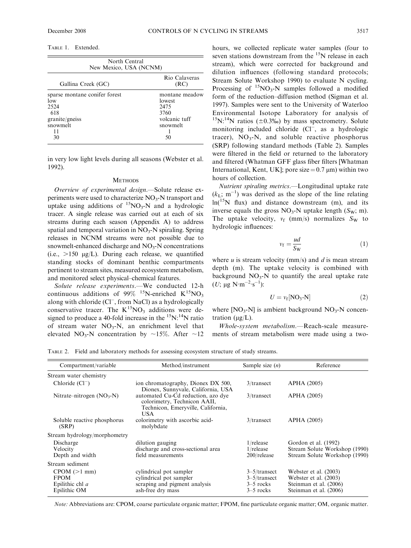TABLE 1. Extended.

| North Central<br>New Mexico, USA (NCNM)                                                       |                                                                             |  |  |  |
|-----------------------------------------------------------------------------------------------|-----------------------------------------------------------------------------|--|--|--|
| Gallina Creek (GC)                                                                            | Rio Calaveras<br>(RC)                                                       |  |  |  |
| sparse montane conifer forest<br>low<br>2524<br>618<br>granite/gneiss<br>snowmelt<br>11<br>30 | montane meadow<br>lowest<br>2475<br>3760<br>volcanic tuff<br>snowmelt<br>50 |  |  |  |

in very low light levels during all seasons (Webster et al. 1992).

## **METHODS**

Overview of experimental design.—Solute release experiments were used to characterize  $NO<sub>3</sub>-N$  transport and uptake using additions of  ${}^{15}NO_3-N$  and a hydrologic tracer. A single release was carried out at each of six streams during each season (Appendix A) to address spatial and temporal variation in  $NO_3-N$  spiraling. Spring releases in NCNM streams were not possible due to snowmelt-enhanced discharge and  $NO<sub>3</sub>-N$  concentrations (i.e.,  $>150 \mu g/L$ ). During each release, we quantified standing stocks of dominant benthic compartments pertinent to stream sites, measured ecosystem metabolism, and monitored select physical–chemical features.

Solute release experiments.—We conducted 12-h continuous additions of 99% <sup>15</sup>N-enriched  $K^{15}NO_3$ along with chloride  $(Cl^-, from NaCl)$  as a hydrologically conservative tracer. The  $K^{15}NO_3$  additions were designed to produce a 40-fold increase in the  ${}^{15}N$ :  ${}^{14}N$  ratio of stream water  $NO_3-N$ , an enrichment level that elevated NO<sub>3</sub>-N concentration by  $\sim$ 15%. After  $\sim$ 12 hours, we collected replicate water samples (four to seven stations downstream from the <sup>15</sup>N release in each stream), which were corrected for background and dilution influences (following standard protocols; Stream Solute Workshop 1990) to evaluate N cycling. Processing of  ${}^{15}NO_3-N$  samples followed a modified form of the reduction–diffusion method (Sigman et al. 1997). Samples were sent to the University of Waterloo Environmental Isotope Laboratory for analysis of <sup>15</sup>N:<sup>14</sup>N ratios ( $\pm$ 0.3‰) by mass spectrometry. Solute monitoring included chloride  $(Cl^-)$ , as a hydrologic tracer),  $NO<sub>3</sub>-N$ , and soluble reactive phosphorus (SRP) following standard methods (Table 2). Samples were filtered in the field or returned to the laboratory and filtered (Whatman GFF glass fiber filters [Whatman International, Kent, UK]; pore size =  $0.7 \mu$ m) within two hours of collection.

Nutrient spiraling metrics.—Longitudinal uptake rate  $(k_L; m^{-1})$  was derived as the slope of the line relating  $ln(^{15}N$  flux) and distance downstream (m), and its inverse equals the gross  $NO_3-N$  uptake length  $(S_W; m)$ . The uptake velocity,  $v_f$  (mm/s) normalizes  $S_W$  to hydrologic influences:

$$
v_{\rm f} = \frac{ud}{S_{\rm W}}\tag{1}
$$

where  $u$  is stream velocity (mm/s) and  $d$  is mean stream depth (m). The uptake velocity is combined with background  $NO<sub>3</sub>$ -N to quantify the areal uptake rate (U;  $\mu$ g N·m<sup>-2</sup>·s<sup>-1</sup>):

$$
U = v_f [NO_3-N]
$$
 (2)

where  $[NO<sub>3</sub>-N]$  is ambient background  $NO<sub>3</sub>-N$  concentration  $(\mu g/L)$ .

Whole-system metabolism.—Reach-scale measurements of stream metabolism were made using a two-

TABLE 2. Field and laboratory methods for assessing ecosystem structure of study streams.

| Method/instrument                                                                                                      | Sample size $(n)$                                                    | Reference                                                                                          |  |
|------------------------------------------------------------------------------------------------------------------------|----------------------------------------------------------------------|----------------------------------------------------------------------------------------------------|--|
|                                                                                                                        |                                                                      |                                                                                                    |  |
| ion chromatography, Dionex DX 500,                                                                                     | $3$ /transect                                                        | APHA (2005)                                                                                        |  |
| automated Cu-Cd reduction, azo dye<br>colorimetry, Technicon AAII,<br>Technicon, Emeryville, California,<br><b>USA</b> | $3$ /transect                                                        | APHA (2005)                                                                                        |  |
| colorimetry with ascorbic acid-<br>molybdate                                                                           | $3$ /transect                                                        | APHA (2005)                                                                                        |  |
|                                                                                                                        |                                                                      |                                                                                                    |  |
| dilution gauging<br>discharge and cross-sectional area<br>field measurements                                           | $1$ /release<br>$1$ /release<br>$200$ /release                       | Gordon et al. (1992)<br>Stream Solute Workshop (1990)<br>Stream Solute Workshop (1990)             |  |
|                                                                                                                        |                                                                      |                                                                                                    |  |
| cylindrical pot sampler<br>cylindrical pot sampler<br>scraping and pigment analysis<br>ash-free dry mass               | $3 - 5$ /transect<br>$3 - 5$ /transect<br>$3-5$ rocks<br>$3-5$ rocks | Webster et al. (2003)<br>Webster et al. (2003)<br>Steinman et al. (2006)<br>Steinman et al. (2006) |  |
|                                                                                                                        | Dionex, Sunnyvale, California, USA                                   |                                                                                                    |  |

Note: Abbreviations are: CPOM, coarse particulate organic matter; FPOM, fine particulate organic matter; OM, organic matter.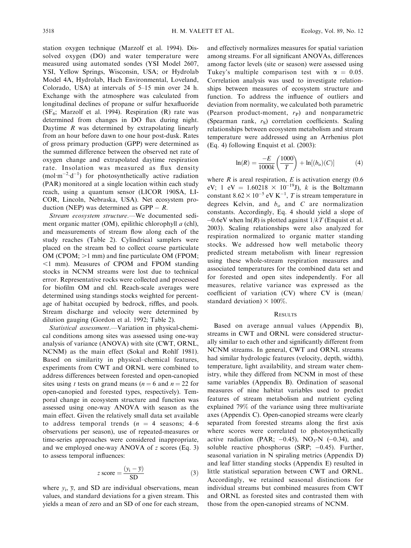station oxygen technique (Marzolf et al. 1994). Dissolved oxygen (DO) and water temperature were measured using automated sondes (YSI Model 2607, YSI, Yellow Springs, Wisconsin, USA; or Hydrolab Model 4A, Hydrolab, Hach Environmental, Loveland, Colorado, USA) at intervals of 5–15 min over 24 h. Exchange with the atmosphere was calculated from longitudinal declines of propane or sulfur hexafluoride  $(SF_6; Marzolf et al. 1994)$ . Respiration (R) rate was determined from changes in DO flux during night. Daytime  $R$  was determined by extrapolating linearly from an hour before dawn to one hour post-dusk. Rates of gross primary production (GPP) were determined as the summed difference between the observed net rate of oxygen change and extrapolated daytime respiration rate. Insolation was measured as flux density  $(\text{mol}\cdot\text{m}^{-2}\cdot\text{d}^{-1})$  for photosynthetically active radiation (PAR) monitored at a single location within each study reach, using a quantum sensor (LICOR 190SA, LI-COR, Lincoln, Nebraska, USA). Net ecosystem production (NEP) was determined as  $GPP - R$ .

Stream ecosystem structure.—We documented sediment organic matter (OM), epilithic chlorophyll *a* (chl), and measurements of stream flow along each of the study reaches (Table 2). Cylindrical samplers were placed on the stream bed to collect coarse particulate OM (CPOM;  $>1$  mm) and fine particulate OM (FPOM; ,1 mm). Measures of CPOM and FPOM standing stocks in NCNM streams were lost due to technical error. Representative rocks were collected and processed for biofilm OM and chl. Reach-scale averages were determined using standings stocks weighted for percentage of habitat occupied by bedrock, riffles, and pools. Stream discharge and velocity were determined by dilution gauging (Gordon et al. 1992; Table 2).

Statistical assessment.—Variation in physical-chemical conditions among sites was assessed using one-way analysis of variance (ANOVA) with site (CWT, ORNL, NCNM) as the main effect (Sokal and Rohlf 1981). Based on similarity in physical–chemical features, experiments from CWT and ORNL were combined to address differences between forested and open-canopied sites using t tests on grand means ( $n = 6$  and  $n = 22$  for open-canopied and forested types, respectively). Temporal change in ecosystem structure and function was assessed using one-way ANOVA with season as the main effect. Given the relatively small data set available to address temporal trends  $(n = 4$  seasons; 4–6 observations per season), use of repeated-measures or time-series approaches were considered inappropriate, and we employed one-way ANOVA of z scores (Eq. 3) to assess temporal influences:

$$
z \text{ score} = \frac{(y_i - \overline{y})}{SD} \tag{3}
$$

where  $y_i$ ,  $\bar{y}$ , and SD are individual observations, mean values, and standard deviations for a given stream. This yields a mean of zero and an SD of one for each stream, and effectively normalizes measures for spatial variation among streams. For all significant ANOVAs, differences among factor levels (site or season) were assessed using Tukey's multiple comparison test with  $\alpha = 0.05$ . Correlation analysis was used to investigate relationships between measures of ecosystem structure and function. To address the influence of outliers and deviation from normality, we calculated both parametric (Pearson product-moment,  $r<sub>P</sub>$ ) and nonparametric (Spearman rank,  $r_S$ ) correlation coefficients. Scaling relationships between ecosystem metabolism and stream temperature were addressed using an Arrhenius plot (Eq. 4) following Enquist et al. (2003):

$$
\ln(R) = \frac{-E}{1000k} \left( \frac{1000}{T} \right) + \ln[(b_0)(C)] \tag{4}
$$

where  $R$  is areal respiration,  $E$  is activation energy (0.6) eV; 1 eV =  $1.60218 \times 10^{-19}$ J), k is the Boltzmann constant  $8.62 \times 10^{-5}$  eV K<sup>-1</sup>, T is stream temperature in degrees Kelvin, and  $b_0$  and C are normalization constants. Accordingly, Eq. 4 should yield a slope of  $-0.6$ eV when  $ln(R)$  is plotted against  $1/kT$  (Enquist et al. 2003). Scaling relationships were also analyzed for respiration normalized to organic matter standing stocks. We addressed how well metabolic theory predicted stream metabolism with linear regression using these whole-stream respiration measures and associated temperatures for the combined data set and for forested and open sites independently. For all measures, relative variance was expressed as the coefficient of variation (CV) where CV is (mean/ standard deviation)  $\times$  100%.

#### **RESULTS**

Based on average annual values (Appendix B), streams in CWT and ORNL were considered structurally similar to each other and significantly different from NCNM streams. In general, CWT and ORNL streams had similar hydrologic features (velocity, depth, width), temperature, light availability, and stream water chemistry, while they differed from NCNM in most of these same variables (Appendix B). Ordination of seasonal measures of nine habitat variables used to predict features of stream metabolism and nutrient cycling explained 79% of the variance using three multivariate axes (Appendix C). Open-canopied streams were clearly separated from forested streams along the first axis where scores were correlated to photosynthetically active radiation (PAR;  $-0.45$ ), NO<sub>3</sub>-N ( $-0.34$ ), and soluble reactive phosphorus (SRP;  $-0.45$ ). Further, seasonal variation in N spiraling metrics (Appendix D) and leaf litter standing stocks (Appendix E) resulted in little statistical separation between CWT and ORNL. Accordingly, we retained seasonal distinctions for individual streams but combined measures from CWT and ORNL as forested sites and contrasted them with those from the open-canopied streams of NCNM.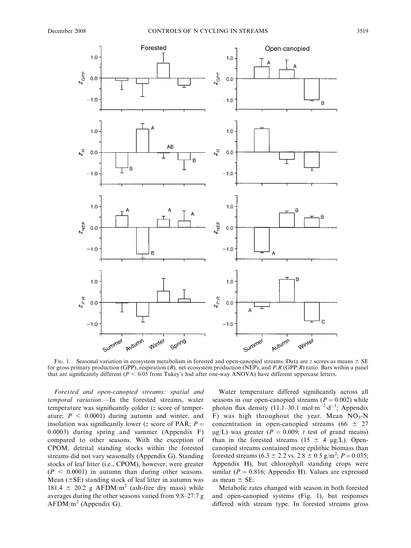

FIG. 1. Seasonal variation in ecosystem metabolism in forested and open-canopied streams. Data are z scores as means  $\pm$  SE for gross primary production (GPP), respiration  $(R)$ , net ecosystem production (NEP), and P:R (GPP:R) ratio. Bars within a panel that are significantly different ( $P < 0.05$  from Tukey's hsd after one-way ANOVA) have different uppercase letters.

Forested and open-canopied streams: spatial and temporal variation.—In the forested streams, water temperature was significantly colder (z score of temperature;  $P < 0.0001$ ) during autumn and winter, and insolation was significantly lower (z score of PAR;  $P =$ 0.0003) during spring and summer (Appendix F) compared to other seasons. With the exception of CPOM, detrital standing stocks within the forested streams did not vary seasonally (Appendix G). Standing stocks of leaf litter (i.e., CPOM), however, were greater  $(P < 0.0001)$  in autumn than during other seasons. Mean  $(\pm SE)$  standing stock of leaf litter in autumn was 181.4  $\pm$  20.2 g AFDM/m<sup>2</sup> (ash-free dry mass) while averages during the other seasons varied from 9.8–27.7 g  $AFDM/m<sup>2</sup>$  (Appendix G).

Water temperature differed significantly across all seasons in our open-canopied streams ( $P = 0.002$ ) while photon flux density  $(11.1-30.1 \text{ mol} \cdot \text{m}^{-2} \cdot \text{d}^{-1})$ ; Appendix F) was high throughout the year. Mean  $NO<sub>3</sub>-N$ concentration in open-canopied streams (66  $\pm$  27  $\mu$ g/L) was greater (*P* = 0.009; *t* test of grand means) than in the forested streams (15  $\pm$  4 µg/L). Opencanopied streams contained more epilithic biomass than forested streams (6.3  $\pm$  2.2 vs. 2.8  $\pm$  0.5 g/m<sup>2</sup>; *P* = 0.035; Appendix H), but chlorophyll standing crops were similar ( $P = 0.816$ ; Appendix H). Values are expressed as mean  $\pm$  SE.

Metabolic rates changed with season in both forested and open-canopied systems (Fig. 1), but responses differed with stream type. In forested streams gross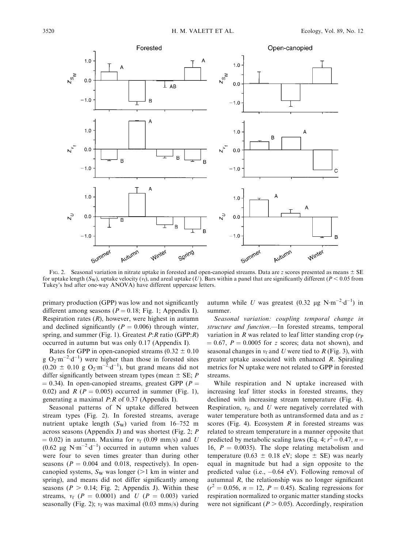

FIG. 2. Seasonal variation in nitrate uptake in forested and open-canopied streams. Data are z scores presented as means  $\pm$  SE for uptake length (S<sub>W</sub>), uptake velocity ( $v_f$ ), and areal uptake (U). Bars within a panel that are significantly different ( $P < 0.05$  from Tukey's hsd after one-way ANOVA) have different uppercase letters.

primary production (GPP) was low and not significantly different among seasons ( $P = 0.18$ ; Fig. 1; Appendix I). Respiration rates  $(R)$ , however, were highest in autumn and declined significantly ( $P = 0.006$ ) through winter, spring, and summer (Fig. 1). Greatest P:R ratio (GPP:R) occurred in autumn but was only 0.17 (Appendix I).

Rates for GPP in open-canopied streams  $(0.32 \pm 0.10$ g  $O_2 \cdot m^{-2} \cdot d^{-1}$ ) were higher than those in forested sites  $(0.20 \pm 0.10 \text{ g } O_2 \text{·m}^{-2} \text{·d}^{-1})$ , but grand means did not differ significantly between stream types (mean  $\pm$  SE; P  $= 0.34$ ). In open-canopied streams, greatest GPP (P  $=$ 0.02) and R ( $P = 0.005$ ) occurred in summer (Fig. 1), generating a maximal P:R of 0.37 (Appendix I).

Seasonal patterns of N uptake differed between stream types (Fig. 2). In forested streams, average nutrient uptake length  $(S_W)$  varied from 16–752 m across seasons (Appendix J) and was shortest (Fig. 2; P  $= 0.02$ ) in autumn. Maxima for  $v_f$  (0.09 mm/s) and U  $(0.62 \text{ µg N}\cdot\text{m}^{-2} \cdot \text{d}^{-1})$  occurred in autumn when values were four to seven times greater than during other seasons ( $P = 0.004$  and 0.018, respectively). In opencanopied systems,  $S_W$  was longer ( $>1$  km in winter and spring), and means did not differ significantly among seasons ( $P > 0.14$ ; Fig. 2; Appendix J). Within these streams,  $v_f$  ( $P = 0.0001$ ) and U ( $P = 0.003$ ) varied seasonally (Fig. 2);  $v_f$  was maximal (0.03 mms/s) during

autumn while U was greatest (0.32 µg N·m<sup>-2</sup>·d<sup>-1</sup>) in summer.

Seasonal variation: coupling temporal change in structure and function.—In forested streams, temporal variation in R was related to leaf litter standing crop  $(r_{\rm P})$  $= 0.67$ ,  $P = 0.0005$  for z scores; data not shown), and seasonal changes in  $v_f$  and U were tied to R (Fig. 3), with greater uptake associated with enhanced R. Spiraling metrics for N uptake were not related to GPP in forested streams.

While respiration and N uptake increased with increasing leaf litter stocks in forested streams, they declined with increasing stream temperature (Fig. 4). Respiration,  $v_f$ , and U were negatively correlated with water temperature both as untransformed data and as z scores (Fig. 4). Ecosystem  $R$  in forested streams was related to stream temperature in a manner opposite that predicted by metabolic scaling laws (Eq. 4;  $r^2 = 0.47$ ,  $n =$ 16,  $P = 0.0035$ . The slope relating metabolism and temperature (0.63  $\pm$  0.18 eV; slope  $\pm$  SE) was nearly equal in magnitude but had a sign opposite to the predicted value (i.e.,  $-0.64$  eV). Following removal of autumnal  $R$ , the relationship was no longer significant  $(r^2 = 0.056, n = 12, P = 0.45)$ . Scaling regressions for respiration normalized to organic matter standing stocks were not significant ( $P > 0.05$ ). Accordingly, respiration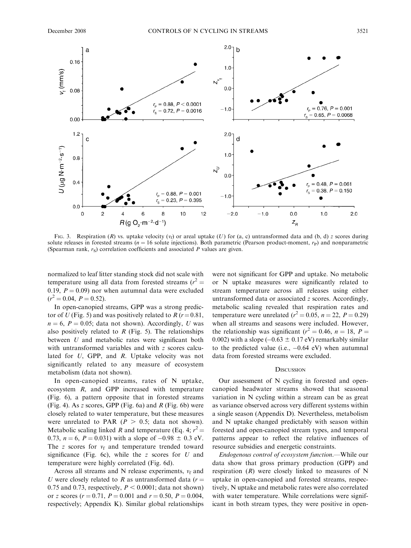

FIG. 3. Respiration (R) vs. uptake velocity ( $v_f$ ) or areal uptake (U) for (a, c) untransformed data and (b, d) z scores during solute releases in forested streams ( $n = 16$  solute injections). Both parametric (Pearson product-moment,  $r<sub>P</sub>$ ) and nonparametric (Spearman rank,  $r<sub>S</sub>$ ) correlation coefficients and associated P values are given.

normalized to leaf litter standing stock did not scale with temperature using all data from forested streams ( $r^2 =$ 0.19,  $P = 0.09$ ) nor when autumnal data were excluded  $(r^2 = 0.04, P = 0.52).$ 

In open-canopied streams, GPP was a strong predictor of U (Fig. 5) and was positively related to R ( $r = 0.81$ ,  $n = 6$ ,  $P = 0.05$ ; data not shown). Accordingly, U was also positively related to  $R$  (Fig. 5). The relationships between U and metabolic rates were significant both with untransformed variables and with z scores calculated for U, GPP, and R. Uptake velocity was not significantly related to any measure of ecosystem metabolism (data not shown).

In open-canopied streams, rates of N uptake, ecosystem R, and GPP increased with temperature (Fig. 6), a pattern opposite that in forested streams (Fig. 4). As  $z$  scores, GPP (Fig. 6a) and  $R$  (Fig. 6b) were closely related to water temperature, but these measures were unrelated to PAR ( $P > 0.5$ ; data not shown). Metabolic scaling linked R and temperature (Eq. 4;  $r^2 =$ 0.73,  $n = 6$ ,  $P = 0.031$ ) with a slope of  $-0.98 \pm 0.3$  eV. The z scores for  $v_f$  and temperature trended toward significance (Fig. 6c), while the z scores for  $U$  and temperature were highly correlated (Fig. 6d).

Across all streams and N release experiments,  $v_f$  and U were closely related to R as untransformed data  $(r =$ 0.75 and 0.73, respectively,  $P < 0.0001$ ; data not shown) or z scores ( $r = 0.71$ ,  $P = 0.001$  and  $r = 0.50$ ,  $P = 0.004$ , respectively; Appendix K). Similar global relationships were not significant for GPP and uptake. No metabolic or N uptake measures were significantly related to stream temperature across all releases using either untransformed data or associated z scores. Accordingly, metabolic scaling revealed that respiration rates and temperature were unrelated ( $r^2 = 0.05$ ,  $n = 22$ ,  $P = 0.29$ ) when all streams and seasons were included. However, the relationship was significant ( $r^2 = 0.46$ ,  $n = 18$ ,  $P =$ 0.002) with a slope  $(-0.63 \pm 0.17 \text{ eV})$  remarkably similar to the predicted value (i.e.,  $-0.64$  eV) when autumnal data from forested streams were excluded.

#### **DISCUSSION**

Our assessment of N cycling in forested and opencanopied headwater streams showed that seasonal variation in N cycling within a stream can be as great as variance observed across very different systems within a single season (Appendix D). Nevertheless, metabolism and N uptake changed predictably with season within forested and open-canopied stream types, and temporal patterns appear to reflect the relative influences of resource subsidies and energetic constraints.

Endogenous control of ecosystem function.—While our data show that gross primary production (GPP) and respiration  $(R)$  were closely linked to measures of N uptake in open-canopied and forested streams, respectively, N uptake and metabolic rates were also correlated with water temperature. While correlations were significant in both stream types, they were positive in open-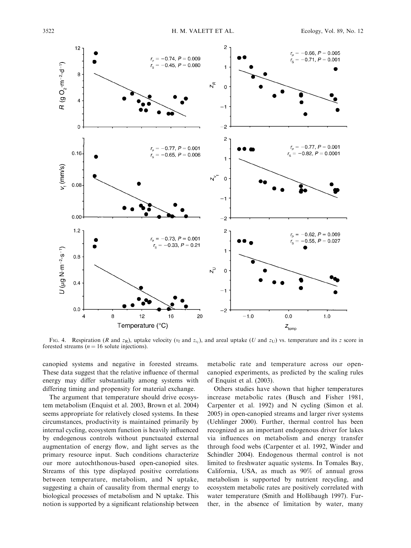

FIG. 4. Respiration (R and  $z_R$ ), uptake velocity ( $v_f$  and  $z_{v_i}$ ), and areal uptake (U and  $z_U$ ) vs. temperature and its z score in forested streams ( $n = 16$  solute injections).

canopied systems and negative in forested streams. These data suggest that the relative influence of thermal energy may differ substantially among systems with differing timing and propensity for material exchange.

The argument that temperature should drive ecosystem metabolism (Enquist et al. 2003, Brown et al. 2004) seems appropriate for relatively closed systems. In these circumstances, productivity is maintained primarily by internal cycling, ecosystem function is heavily influenced by endogenous controls without punctuated external augmentation of energy flow, and light serves as the primary resource input. Such conditions characterize our more autochthonous-based open-canopied sites. Streams of this type displayed positive correlations between temperature, metabolism, and N uptake, suggesting a chain of causality from thermal energy to biological processes of metabolism and N uptake. This notion is supported by a significant relationship between

metabolic rate and temperature across our opencanopied experiments, as predicted by the scaling rules of Enquist et al. (2003).

Others studies have shown that higher temperatures increase metabolic rates (Busch and Fisher 1981, Carpenter et al. 1992) and N cycling (Simon et al. 2005) in open-canopied streams and larger river systems (Uehlinger 2000). Further, thermal control has been recognized as an important endogenous driver for lakes via influences on metabolism and energy transfer through food webs (Carpenter et al. 1992, Winder and Schindler 2004). Endogenous thermal control is not limited to freshwater aquatic systems. In Tomales Bay, California, USA, as much as 90% of annual gross metabolism is supported by nutrient recycling, and ecosystem metabolic rates are positively correlated with water temperature (Smith and Hollibaugh 1997). Further, in the absence of limitation by water, many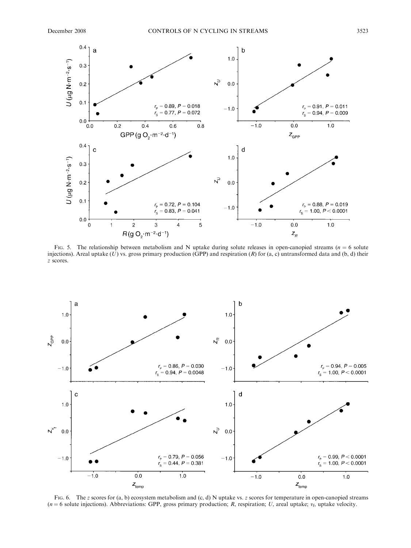

FIG. 5. The relationship between metabolism and N uptake during solute releases in open-canopied streams ( $n = 6$  solute injections). Areal uptake  $(U)$  vs. gross primary production (GPP) and respiration (R) for (a, c) untransformed data and (b, d) their z scores.



FIG. 6. The z scores for (a, b) ecosystem metabolism and (c, d) N uptake vs. z scores for temperature in open-canopied streams  $(n = 6$  solute injections). Abbreviations: GPP, gross primary production; R, respiration; U, areal uptake;  $v_f$ , uptake velocity.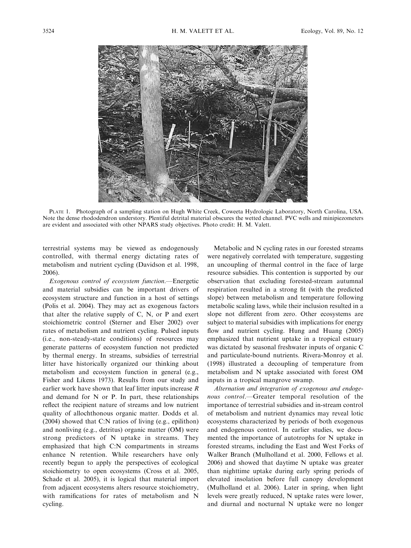

PLATE 1. Photograph of a sampling station on Hugh White Creek, Coweeta Hydrologic Laboratory, North Carolina, USA. Note the dense rhododendron understory. Plentiful detrital material obscures the wetted channel. PVC wells and minipiezometers are evident and associated with other NPARS study objectives. Photo credit: H. M. Valett.

terrestrial systems may be viewed as endogenously controlled, with thermal energy dictating rates of metabolism and nutrient cycling (Davidson et al. 1998, 2006).

Exogenous control of ecosystem function.—Energetic and material subsidies can be important drivers of ecosystem structure and function in a host of settings (Polis et al. 2004). They may act as exogenous factors that alter the relative supply of C, N, or P and exert stoichiometric control (Sterner and Elser 2002) over rates of metabolism and nutrient cycling. Pulsed inputs (i.e., non-steady-state conditions) of resources may generate patterns of ecosystem function not predicted by thermal energy. In streams, subsidies of terrestrial litter have historically organized our thinking about metabolism and ecosystem function in general (e.g., Fisher and Likens 1973). Results from our study and earlier work have shown that leaf litter inputs increase R and demand for N or P. In part, these relationships reflect the recipient nature of streams and low nutrient quality of allochthonous organic matter. Dodds et al. (2004) showed that C:N ratios of living (e.g., epilithon) and nonliving (e.g., detritus) organic matter (OM) were strong predictors of N uptake in streams. They emphasized that high C:N compartments in streams enhance N retention. While researchers have only recently begun to apply the perspectives of ecological stoichiometry to open ecosystems (Cross et al. 2005, Schade et al. 2005), it is logical that material import from adjacent ecosystems alters resource stoichiometry, with ramifications for rates of metabolism and N cycling.

Metabolic and N cycling rates in our forested streams were negatively correlated with temperature, suggesting an uncoupling of thermal control in the face of large resource subsidies. This contention is supported by our observation that excluding forested-stream autumnal respiration resulted in a strong fit (with the predicted slope) between metabolism and temperature following metabolic scaling laws, while their inclusion resulted in a slope not different from zero. Other ecosystems are subject to material subsidies with implications for energy flow and nutrient cycling. Hung and Huang (2005) emphasized that nutrient uptake in a tropical estuary was dictated by seasonal freshwater inputs of organic C and particulate-bound nutrients. Rivera-Monroy et al. (1998) illustrated a decoupling of temperature from metabolism and N uptake associated with forest OM inputs in a tropical mangrove swamp.

Alternation and integration of exogenous and endogenous control.—Greater temporal resolution of the importance of terrestrial subsidies and in-stream control of metabolism and nutrient dynamics may reveal lotic ecosystems characterized by periods of both exogenous and endogenous control. In earlier studies, we documented the importance of autotrophs for N uptake in forested streams, including the East and West Forks of Walker Branch (Mulholland et al. 2000, Fellows et al. 2006) and showed that daytime N uptake was greater than nighttime uptake during early spring periods of elevated insolation before full canopy development (Mulholland et al. 2006). Later in spring, when light levels were greatly reduced, N uptake rates were lower, and diurnal and nocturnal N uptake were no longer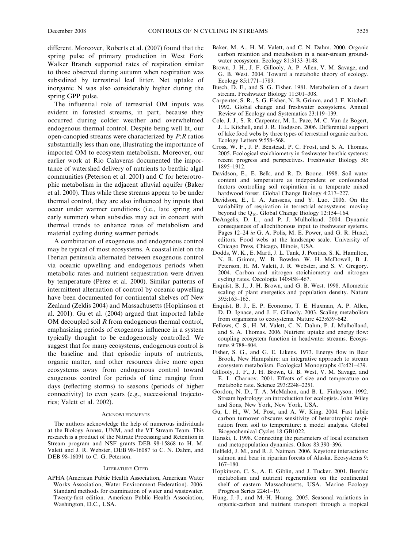different. Moreover, Roberts et al. (2007) found that the spring pulse of primary production in West Fork Walker Branch supported rates of respiration similar to those observed during autumn when respiration was subsidized by terrestrial leaf litter. Net uptake of inorganic N was also considerably higher during the spring GPP pulse.

The influential role of terrestrial OM inputs was evident in forested streams, in part, because they occurred during colder weather and overwhelmed endogenous thermal control. Despite being well lit, our open-canopied streams were characterized by P:R ratios substantially less than one, illustrating the importance of imported OM to ecosystem metabolism. Moreover, our earlier work at Rio Calaveras documented the importance of watershed delivery of nutrients to benthic algal communities (Peterson et al. 2001) and C for heterotrophic metabolism in the adjacent alluvial aquifer (Baker et al. 2000). Thus while these streams appear to be under thermal control, they are also influenced by inputs that occur under warmer conditions (i.e., late spring and early summer) when subsidies may act in concert with thermal trends to enhance rates of metabolism and material cycling during warmer periods.

A combination of exogenous and endogenous control may be typical of most ecosystems. A coastal inlet on the Iberian peninsula alternated between exogenous control via oceanic upwelling and endogenous periods when metabolic rates and nutrient sequestration were driven by temperature (Pérez et al. 2000). Similar patterns of intermittent alternation of control by oceanic upwelling have been documented for continental shelves off New Zealand (Zeldis 2004) and Massachusetts (Hopkinson et al. 2001). Gu et al. (2004) argued that imported labile OM decoupled soil R from endogenous thermal control, emphasizing periods of exogenous influence in a system typically thought to be endogenously controlled. We suggest that for many ecosystems, endogenous control is the baseline and that episodic inputs of nutrients, organic matter, and other resources drive more open ecosystems away from endogenous control toward exogenous control for periods of time ranging from days (reflecting storms) to seasons (periods of higher connectivity) to even years (e.g., successional trajectories; Valett et al. 2002).

#### **ACKNOWLEDGMENTS**

The authors acknowledge the help of numerous individuals at the Biology Annex, UNM, and the VT Stream Team. This research is a product of the Nitrate Processing and Retention in Stream program and NSF grants DEB 98-15868 to H. M. Valett and J. R. Webster, DEB 98-16087 to C. N. Dahm, and DEB 98-16091 to C. G. Peterson.

#### LITERATURE CITED

APHA (American Public Health Association, American Water Works Association, Water Environment Federation). 2006. Standard methods for examination of water and wastewater. Twenty-first edition. American Public Health Association, Washington, D.C., USA.

- Baker, M. A., H. M. Valett, and C. N. Dahm. 2000. Organic carbon retention and metabolism in a near-stream groundwater ecosystem. Ecology 81:3133–3148.
- Brown, J. H., J. F. Gillooly, A. P. Allen, V. M. Savage, and G. B. West. 2004. Toward a metabolic theory of ecology. Ecology 85:1771–1789.
- Busch, D. E., and S. G. Fisher. 1981. Metabolism of a desert stream. Freshwater Biology 11:301–308.
- Carpenter, S. R., S. G. Fisher, N. B. Grimm, and J. F. Kitchell. 1992. Global change and freshwater ecosystems. Annual Review of Ecology and Systematics 23:119–139.
- Cole, J. J., S. R. Carpenter, M. L. Pace, M. C. Van de Bogert, J. L. Kitchell, and J. R. Hodgson. 2006. Differential support of lake food webs by three types of terrestrial organic carbon. Ecology Letters 9:558–568.
- Cross, W. F., J. P. Benstead, P. C. Frost, and S. A. Thomas. 2005. Ecological stoichiometry in freshwater benthic systems: recent progress and perspectives. Freshwater Biology 50: 1895–1912.
- Davidson, E., E. Belk, and R. D. Boone. 1998. Soil water content and temperature as independent or confounded factors controlling soil respiration in a temperate mixed hardwood forest. Global Change Biology 4:217–227.
- Davidson, E., I. A. Janssens, and Y. Luo. 2006. On the variability of respiration in terrestrial ecosystems: moving beyond the  $Q_{10}$ . Global Change Biology 12:154–164.
- DeAngelis, D. L., and P. J. Mulholland. 2004. Dynamic consequences of allochthonous input to freshwater systems. Pages 12–24 in G. A. Polis, M. E. Power, and G. R. Huxel, editors. Food webs at the landscape scale. University of Chicago Press, Chicago, Illinois, USA.
- Dodds, W. K., E. Martí, J. L. Tank, J. Pontius, S. K. Hamilton, N. B. Grimm, W. B. Bowden, W. H. McDowell, B. J. Peterson, H. M. Valett, J. R. Webster, and S. V. Gregory. 2004. Carbon and nitrogen stoichiometry and nitrogen cycling rates. Oecologia 140:458–467.
- Enquist, B. J., J. H. Brown, and G. B. West. 1998. Allometric scaling of plant energetics and population density. Nature 395:163–165.
- Enquist, B. J., E. P. Economo, T. E. Huxman, A. P. Allen, D. D. Ignace, and J. F. Gillooly. 2003. Scaling metabolism from organisms to ecosystems. Nature 423:639–642.
- Fellows, C. S., H. M. Valett, C. N. Dahm, P. J. Mulholland, and S. A. Thomas. 2006. Nutrient uptake and energy flow: coupling ecosystem function in headwater streams. Ecosystems 9:788–804.
- Fisher, S. G., and G. E. Likens. 1973. Energy flow in Bear Brook, New Hampshire: an integrative approach to stream ecosystem metabolism. Ecological Monographs 43:421–439.
- Gillooly, J. F., J. H. Brown, G. B. West, V. M. Savage, and E. L. Charnov. 2001. Effects of size and temperature on metabolic rate. Science 293:2248–2251.
- Gordon, N. D., T. A. McMahon, and B. L. Finlayson. 1992. Stream hydrology: an introduction for ecologists. John Wiley and Sons, New York, New York, USA.
- Gu, L. H., W. M. Post, and A. W. King. 2004. Fast labile carbon turnover obscures sensitivity of heterotrophic respiration from soil to temperature: a model analysis. Global Biogeochemical Cycles 18:GB1022.
- Hanski, I. 1998. Connecting the parameters of local extinction and metapopulation dynamics. Oikos 83:390–396.
- Helfield, J. M., and R. J. Naiman. 2006. Keystone interactions: salmon and bear in riparian forests of Alaska. Ecosystems 9: 167–180.
- Hopkinson, C. S., A. E. Giblin, and J. Tucker. 2001. Benthic metabolism and nutrient regeneration on the continental shelf of eastern Massachusetts, USA. Marine Ecology Progress Series 224:1–19.
- Hung, J.-J., and M.-H. Huang. 2005. Seasonal variations in organic-carbon and nutrient transport through a tropical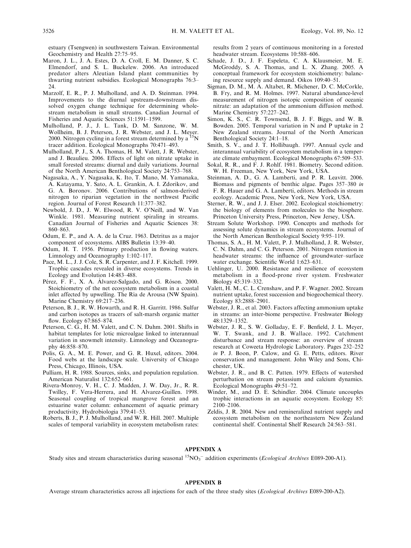estuary (Tsengwen) in southwestern Taiwan. Environmental Geochemistry and Health 27:75–95.

- Maron, J. L., J. A. Estes, D. A. Croll, E. M. Danner, S. C. Elmendorf, and S. L. Buckelew. 2006. An introduced predator alters Aleutian Island plant communities by thwarting nutrient subsidies. Ecological Monographs 76:3– 24.
- Marzolf, E. R., P. J. Mulholland, and A. D. Steinman. 1994. Improvements to the diurnal upstream-downstream dissolved oxygen change technique for determining wholestream metabolism in small streams. Canadian Journal of Fisheries and Aquatic Sciences 51:1591–1599.
- Mulholland, P. J., J. L. Tank, D. M. Sanzone, W. M. Wollheim, B. J. Peterson, J. R. Webster, and J. L. Meyer. 2000. Nitrogen cycling in a forest stream determined by a  $\rm{^{15}N}$ tracer addition. Ecological Monographs 70:471–493.
- Mulholland, P. J., S. A. Thomas, H. M. Valett, J. R. Webster, and J. Beaulieu. 2006. Effects of light on nitrate uptake in small forested streams: diurnal and daily variations. Journal of the North American Benthological Society 24:753–768.
- Nagasaka, A., Y. Nagasaka, K. Ito, T. Mano, M. Yamanaka, A. Katayama, Y. Sato, A. L. Grankin, A. I. Zdorikov, and G. A. Boronov. 2006. Contributions of salmon-derived nitrogen to riparian vegetation in the northwest Pacific region. Journal of Forest Research 11:377–382.
- Newbold, J. D., J. W. Elwood, R. V. O'Neill, and W. Van Winkle. 1981. Measuring nutrient spiraling in streams. Canadian Journal of Fisheries and Aquatic Sciences 38: 860–863.
- Odum, E. P., and A. A. de la Cruz. 1963. Detritus as a major component of ecosystems. AIBS Bulletin 13:39–40.
- Odum, H. T. 1956. Primary production in flowing waters. Limnology and Oceanography 1:102–117.
- Pace, M. L., J. J. Cole, S. R. Carpenter, and J. F. Kitchell. 1999. Trophic cascades revealed in diverse ecosystems. Trends in Ecology and Evolution 14:483–488.
- Pérez, F. F., X. A. Alvarez-Salgado, and G. Róson. 2000. Stoichiometry of the net ecosystem metabolism in a coastal inlet affected by upwelling. The Ría de Arousa (NW Spain). Marine Chemistry 69:217–236.
- Peterson, B. J., R. W. Howarth, and R. H. Garritt. 1986. Sulfur and carbon isotopes as tracers of salt-marsh organic matter flow. Ecology 67:865–874.
- Peterson, C. G., H. M. Valett, and C. N. Dahm. 2001. Shifts in habitat templates for lotic microalgae linked to interannual variation in snowmelt intensity. Limnology and Oceanography 46:858–870.
- Polis, G. A., M. E. Power, and G. R. Huxel, editors. 2004. Food webs at the landscape scale. University of Chicago Press, Chicago, Illinois, USA.
- Pulliam, H. R. 1988. Sources, sinks, and population regulation. American Naturalist 132:652–661.
- Rivera-Monroy, V. H., C. J. Madden, J. W. Day, Jr., R. R. Twilley, F. Vera-Herrera, and H. Alvarez-Guillen. 1998. Seasonal coupling of tropical mangrove forest and an estuarine water column: enhancement of aquatic primary productivity. Hydrobiologia 379:41–53.
- Roberts, B. J., P. J. Mulholland, and W. R. Hill. 2007. Multiple scales of temporal variability in ecosystem metabolism rates:

results from 2 years of continuous monitoring in a forested headwater stream. Ecosystems 10:588–606.

- Schade, J. D., J. F. Espeleta, C. A. Klausmeier, M. E. McGroddy, S. A. Thomas, and L. X. Zhang. 2005. A conceptual framework for ecosystem stoichiometry: balancing resource supply and demand. Oikos 109:40–51.
- Sigman, D. M., M. A. Altabet, R. Michener, D. C. McCorkle, B. Fry, and R. M. Holmes. 1997. Natural abundance-level measurement of nitrogen isotopic composition of oceanic nitrate: an adaptation of the ammonium diffusion method. Marine Chemistry 57:227–242.
- Simon, K. S., C. R. Townsend, B. J. F. Biggs, and W. B. Bowden. 2005. Temporal variation in N and P uptake in 2 New Zealand streams. Journal of the North American Benthological Society 24:1–18.
- Smith, S. V., and J. T. Hollibaugh. 1997. Annual cycle and interannual variability of ecosystem metabolism in a temperate climate embayment. Ecological Monographs 67:509–533.
- Sokal, R. R., and F. J. Rohlf. 1981. Biometry. Second edition. W. H. Freeman, New York, New York, USA.
- Steinman, A. D., G. A. Lamberti, and P. R. Leavitt. 2006. Biomass and pigments of benthic algae. Pages 357–380 in F. R. Hauer and G. A. Lamberti, editors. Methods in stream ecology. Academic Press, New York, New York, USA.
- Sterner, R. W., and J. J. Elser. 2002. Ecological stoichiometry: the biology of elements from molecules to the biosphere. Princeton University Press, Princeton, New Jersey, USA.
- Stream Solute Workshop. 1990. Concepts and methods for assessing solute dynamics in stream ecosystems. Journal of the North American Benthological Society 9:95–119.
- Thomas, S. A., H. M. Valett, P. J. Mulholland, J. R. Webster, C. N. Dahm, and C. G. Peterson. 2001. Nitrogen retention in headwater streams: the influence of groundwater–surface water exchange. Scientific World 1:623–631.
- Uehlinger, U. 2000. Resistance and resilience of ecosystem metabolism in a flood-prone river system. Freshwater Biology 45:319–332.
- Valett, H. M., C. L. Crenshaw, and P. F. Wagner. 2002. Stream nutrient uptake, forest succession and biogeochemical theory. Ecology 83:2888-2901.
- Webster, J. R., et al. 2003. Factors affecting ammonium uptake in streams: an inter-biome perspective. Freshwater Biology 48:1329–1352.
- Webster, J. R., S. W. Golladay, E. F. Benfield, J. L. Meyer, W. T. Swank, and J. B. Wallace. 1992. Catchment disturbance and stream response: an overview of stream research at Coweeta Hydrologic Laboratory. Pages 232–252 in P. J. Boon, P. Calow, and G. E. Petts, editors. River conservation and management. John Wiley and Sons, Chichester, UK.
- Webster, J. R., and B. C. Patten. 1979. Effects of watershed perturbation on stream potassium and calcium dynamics. Ecological Monographs 49:51–72.
- Winder, M., and D. E. Schindler. 2004. Climate uncouples trophic interactions in an aquatic ecosystem. Ecology 85: 2100–2106.
- Zeldis, J. R. 2004. New and remineralized nutrient supply and ecosystem metabolism on the northeastern New Zealand continental shelf. Continental Shelf Research 24:563–581.

### APPENDIX A

Study sites and stream characteristics during seasonal  ${}^{15}NO_3^-$  addition experiments (*Ecological Archives* E089-200-A1).

## APPENDIX B

Average stream characteristics across all injections for each of the three study sites (Ecological Archives E089-200-A2).